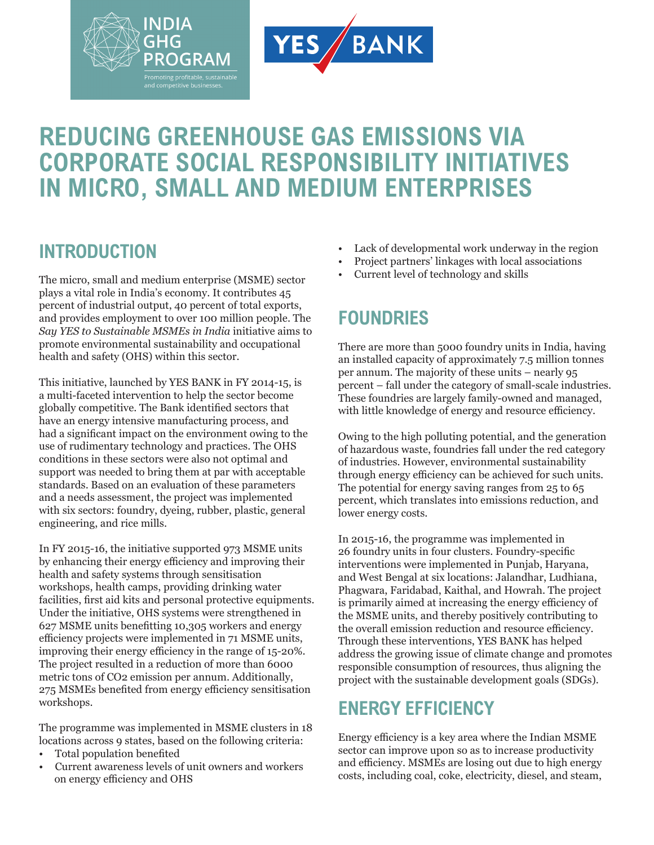

# **REDUCING GREENHOUSE GAS EMISSIONS VIA CORPORATE SOCIAL RESPONSIBILITY INITIATIVES IN MICRO, SMALL AND MEDIUM ENTERPRISES**

### **INTRODUCTION**

The micro, small and medium enterprise (MSME) sector plays a vital role in India's economy. It contributes 45 percent of industrial output, 40 percent of total exports, and provides employment to over 100 million people. The *Say YES to Sustainable MSMEs in India* initiative aims to promote environmental sustainability and occupational health and safety (OHS) within this sector.

This initiative, launched by YES BANK in FY 2014-15, is a multi-faceted intervention to help the sector become globally competitive. The Bank identified sectors that have an energy intensive manufacturing process, and had a significant impact on the environment owing to the use of rudimentary technology and practices. The OHS conditions in these sectors were also not optimal and support was needed to bring them at par with acceptable standards. Based on an evaluation of these parameters and a needs assessment, the project was implemented with six sectors: foundry, dyeing, rubber, plastic, general engineering, and rice mills.

In FY 2015-16, the initiative supported 973 MSME units by enhancing their energy efficiency and improving their health and safety systems through sensitisation workshops, health camps, providing drinking water facilities, first aid kits and personal protective equipments. Under the initiative, OHS systems were strengthened in 627 MSME units benefitting 10,305 workers and energy efficiency projects were implemented in 71 MSME units, improving their energy efficiency in the range of 15-20%. The project resulted in a reduction of more than 6000 metric tons of CO2 emission per annum. Additionally, 275 MSMEs benefited from energy efficiency sensitisation workshops.

The programme was implemented in MSME clusters in 18 locations across 9 states, based on the following criteria:

- Total population benefited
- Current awareness levels of unit owners and workers on energy efficiency and OHS
- Lack of developmental work underway in the region
- Project partners' linkages with local associations
- Current level of technology and skills

## **FOUNDRIES**

There are more than 5000 foundry units in India, having an installed capacity of approximately 7.5 million tonnes per annum. The majority of these units – nearly 95 percent – fall under the category of small-scale industries. These foundries are largely family-owned and managed, with little knowledge of energy and resource efficiency.

Owing to the high polluting potential, and the generation of hazardous waste, foundries fall under the red category of industries. However, environmental sustainability through energy efficiency can be achieved for such units. The potential for energy saving ranges from 25 to 65 percent, which translates into emissions reduction, and lower energy costs.

In 2015-16, the programme was implemented in 26 foundry units in four clusters. Foundry-specific interventions were implemented in Punjab, Haryana, and West Bengal at six locations: Jalandhar, Ludhiana, Phagwara, Faridabad, Kaithal, and Howrah. The project is primarily aimed at increasing the energy efficiency of the MSME units, and thereby positively contributing to the overall emission reduction and resource efficiency. Through these interventions, YES BANK has helped address the growing issue of climate change and promotes responsible consumption of resources, thus aligning the project with the sustainable development goals (SDGs).

# **ENERGY EFFICIENCY**

Energy efficiency is a key area where the Indian MSME sector can improve upon so as to increase productivity and efficiency. MSMEs are losing out due to high energy costs, including coal, coke, electricity, diesel, and steam,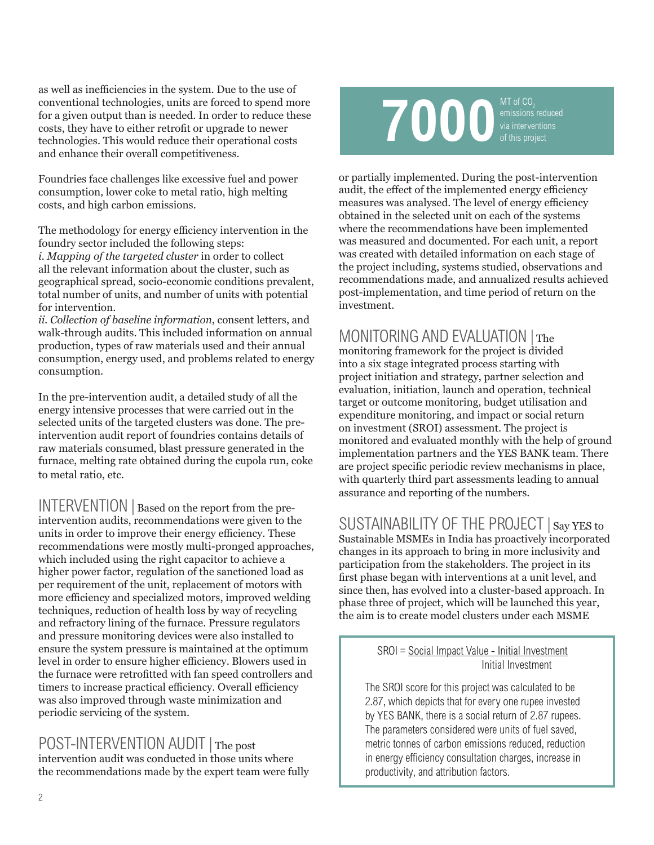as well as inefficiencies in the system. Due to the use of conventional technologies, units are forced to spend more for a given output than is needed. In order to reduce these costs, they have to either retrofit or upgrade to newer technologies. This would reduce their operational costs and enhance their overall competitiveness.

Foundries face challenges like excessive fuel and power consumption, lower coke to metal ratio, high melting costs, and high carbon emissions.

The methodology for energy efficiency intervention in the foundry sector included the following steps: *i. Mapping of the targeted cluster* in order to collect all the relevant information about the cluster, such as geographical spread, socio-economic conditions prevalent, total number of units, and number of units with potential for intervention.

*ii. Collection of baseline information*, consent letters, and walk-through audits. This included information on annual production, types of raw materials used and their annual consumption, energy used, and problems related to energy consumption.

In the pre-intervention audit, a detailed study of all the energy intensive processes that were carried out in the selected units of the targeted clusters was done. The preintervention audit report of foundries contains details of raw materials consumed, blast pressure generated in the furnace, melting rate obtained during the cupola run, coke to metal ratio, etc.

INTERVENTION | Based on the report from the preintervention audits, recommendations were given to the units in order to improve their energy efficiency. These recommendations were mostly multi-pronged approaches, which included using the right capacitor to achieve a higher power factor, regulation of the sanctioned load as per requirement of the unit, replacement of motors with more efficiency and specialized motors, improved welding techniques, reduction of health loss by way of recycling and refractory lining of the furnace. Pressure regulators and pressure monitoring devices were also installed to ensure the system pressure is maintained at the optimum level in order to ensure higher efficiency. Blowers used in the furnace were retrofitted with fan speed controllers and timers to increase practical efficiency. Overall efficiency was also improved through waste minimization and periodic servicing of the system.

POST-INTERVENTION AUDIT | The post intervention audit was conducted in those units where the recommendations made by the expert team were fully



or partially implemented. During the post-intervention audit, the effect of the implemented energy efficiency measures was analysed. The level of energy efficiency obtained in the selected unit on each of the systems where the recommendations have been implemented was measured and documented. For each unit, a report was created with detailed information on each stage of the project including, systems studied, observations and recommendations made, and annualized results achieved post-implementation, and time period of return on the investment.

### MONITORING AND EVALUATION | The

monitoring framework for the project is divided into a six stage integrated process starting with project initiation and strategy, partner selection and evaluation, initiation, launch and operation, technical target or outcome monitoring, budget utilisation and expenditure monitoring, and impact or social return on investment (SROI) assessment. The project is monitored and evaluated monthly with the help of ground implementation partners and the YES BANK team. There are project specific periodic review mechanisms in place, with quarterly third part assessments leading to annual assurance and reporting of the numbers.

SUSTAINABILITY OF THE PROJECT | Say YES to Sustainable MSMEs in India has proactively incorporated changes in its approach to bring in more inclusivity and participation from the stakeholders. The project in its first phase began with interventions at a unit level, and since then, has evolved into a cluster-based approach. In phase three of project, which will be launched this year, the aim is to create model clusters under each MSME

### SROI = Social Impact Value - Initial Investment Initial Investment

The SROI score for this project was calculated to be 2.87, which depicts that for every one rupee invested by YES BANK, there is a social return of 2.87 rupees. The parameters considered were units of fuel saved, metric tonnes of carbon emissions reduced, reduction in energy efficiency consultation charges, increase in productivity, and attribution factors.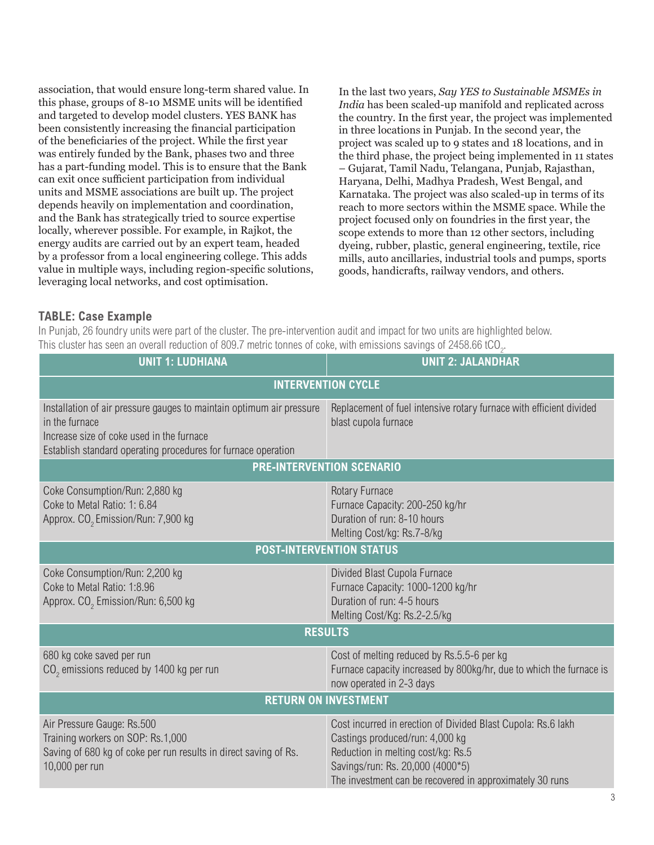association, that would ensure long-term shared value. In this phase, groups of 8-10 MSME units will be identified and targeted to develop model clusters. YES BANK has been consistently increasing the financial participation of the beneficiaries of the project. While the first year was entirely funded by the Bank, phases two and three has a part-funding model. This is to ensure that the Bank can exit once sufficient participation from individual units and MSME associations are built up. The project depends heavily on implementation and coordination, and the Bank has strategically tried to source expertise locally, wherever possible. For example, in Rajkot, the energy audits are carried out by an expert team, headed by a professor from a local engineering college. This adds value in multiple ways, including region-specific solutions, leveraging local networks, and cost optimisation.

In the last two years, *Say YES to Sustainable MSMEs in India* has been scaled-up manifold and replicated across the country. In the first year, the project was implemented in three locations in Punjab. In the second year, the project was scaled up to 9 states and 18 locations, and in the third phase, the project being implemented in 11 states – Gujarat, Tamil Nadu, Telangana, Punjab, Rajasthan, Haryana, Delhi, Madhya Pradesh, West Bengal, and Karnataka. The project was also scaled-up in terms of its reach to more sectors within the MSME space. While the project focused only on foundries in the first year, the scope extends to more than 12 other sectors, including dyeing, rubber, plastic, general engineering, textile, rice mills, auto ancillaries, industrial tools and pumps, sports goods, handicrafts, railway vendors, and others.

#### **TABLE: Case Example**

In Punjab, 26 foundry units were part of the cluster. The pre-intervention audit and impact for two units are highlighted below. This cluster has seen an overall reduction of 809.7 metric tonnes of coke, with emissions savings of 2458.66 tCO<sub>2</sub>.

| <b>UNIT 1: LUDHIANA</b>                                                                                                                                                                              | <b>UNIT 2: JALANDHAR</b>                                                                                                                                                                                                              |
|------------------------------------------------------------------------------------------------------------------------------------------------------------------------------------------------------|---------------------------------------------------------------------------------------------------------------------------------------------------------------------------------------------------------------------------------------|
| <b>INTERVENTION CYCLE</b>                                                                                                                                                                            |                                                                                                                                                                                                                                       |
| Installation of air pressure gauges to maintain optimum air pressure<br>in the furnace<br>Increase size of coke used in the furnace<br>Establish standard operating procedures for furnace operation | Replacement of fuel intensive rotary furnace with efficient divided<br>blast cupola furnace                                                                                                                                           |
| <b>PRE-INTERVENTION SCENARIO</b>                                                                                                                                                                     |                                                                                                                                                                                                                                       |
| Coke Consumption/Run: 2,880 kg<br>Coke to Metal Ratio: 1: 6.84<br>Approx. CO <sub>2</sub> Emission/Run: 7,900 kg                                                                                     | Rotary Furnace<br>Furnace Capacity: 200-250 kg/hr<br>Duration of run: 8-10 hours<br>Melting Cost/kg: Rs.7-8/kg                                                                                                                        |
| <b>POST-INTERVENTION STATUS</b>                                                                                                                                                                      |                                                                                                                                                                                                                                       |
| Coke Consumption/Run: 2,200 kg<br>Coke to Metal Ratio: 1:8.96<br>Approx. CO <sub>2</sub> Emission/Run: 6,500 kg                                                                                      | Divided Blast Cupola Furnace<br>Furnace Capacity: 1000-1200 kg/hr<br>Duration of run: 4-5 hours<br>Melting Cost/Kg: Rs.2-2.5/kg                                                                                                       |
| <b>RESULTS</b>                                                                                                                                                                                       |                                                                                                                                                                                                                                       |
| 680 kg coke saved per run<br>$CO2$ emissions reduced by 1400 kg per run                                                                                                                              | Cost of melting reduced by Rs.5.5-6 per kg<br>Furnace capacity increased by 800kg/hr, due to which the furnace is<br>now operated in 2-3 days                                                                                         |
| <b>RETURN ON INVESTMENT</b>                                                                                                                                                                          |                                                                                                                                                                                                                                       |
| Air Pressure Gauge: Rs.500<br>Training workers on SOP: Rs.1,000<br>Saving of 680 kg of coke per run results in direct saving of Rs.<br>10,000 per run                                                | Cost incurred in erection of Divided Blast Cupola: Rs.6 lakh<br>Castings produced/run: 4,000 kg<br>Reduction in melting cost/kg: Rs.5<br>Savings/run: Rs. 20,000 (4000*5)<br>The investment can be recovered in approximately 30 runs |